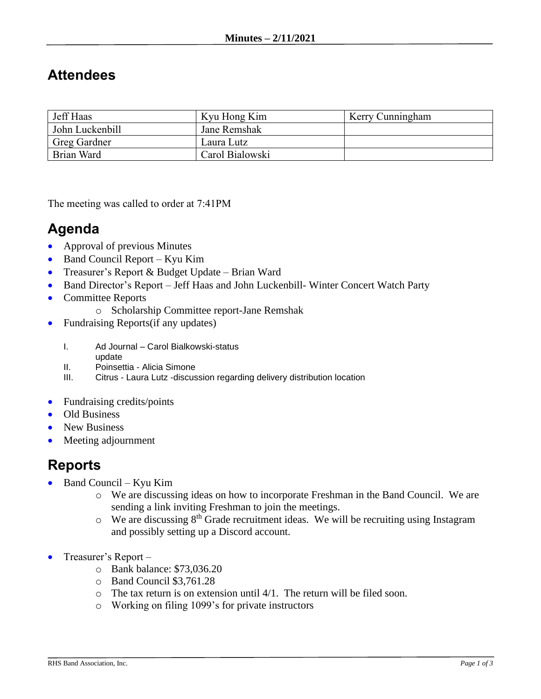## **Attendees**

| Jeff Haas           | Kyu Hong Kim    | Kerry Cunningham |
|---------------------|-----------------|------------------|
| John Luckenbill     | Jane Remshak    |                  |
| <b>Greg Gardner</b> | Laura Lutz      |                  |
| Brian Ward          | Carol Bialowski |                  |

The meeting was called to order at 7:41PM

## **Agenda**

- Approval of previous Minutes
- Band Council Report Kyu Kim
- Treasurer's Report & Budget Update Brian Ward
- Band Director's Report Jeff Haas and John Luckenbill- Winter Concert Watch Party
- Committee Reports
	- o Scholarship Committee report-Jane Remshak
- Fundraising Reports (if any updates)
	- I. Ad Journal Carol Bialkowski-status
	- update
	- II. Poinsettia Alicia Simone
	- III. Citrus Laura Lutz -discussion regarding delivery distribution location
- Fundraising credits/points
- Old Business
- New Business
- Meeting adjournment

## **Reports**

- Band Council Kyu Kim
	- o We are discussing ideas on how to incorporate Freshman in the Band Council. We are sending a link inviting Freshman to join the meetings.
	- $\circ$  We are discussing 8<sup>th</sup> Grade recruitment ideas. We will be recruiting using Instagram and possibly setting up a Discord account.
- Treasurer's Report
	- o Bank balance: \$73,036.20
	- o Band Council \$3,761.28
	- o The tax return is on extension until 4/1. The return will be filed soon.
	- o Working on filing 1099's for private instructors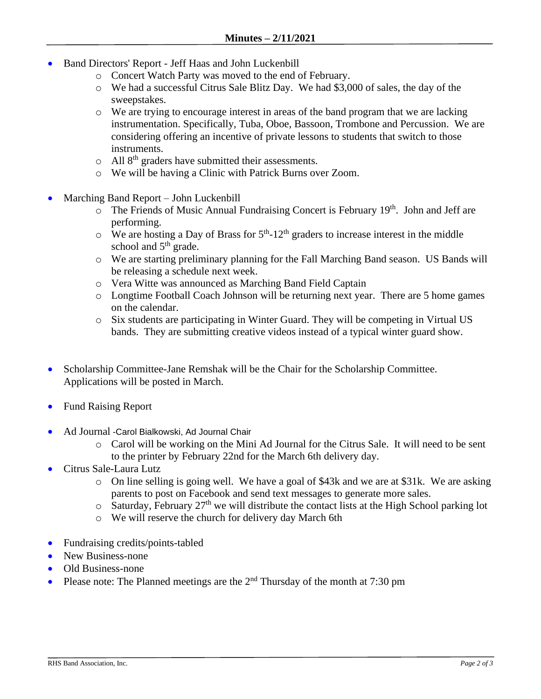- Band Directors' Report Jeff Haas and John Luckenbill
	- o Concert Watch Party was moved to the end of February.
	- o We had a successful Citrus Sale Blitz Day. We had \$3,000 of sales, the day of the sweepstakes.
	- $\circ$  We are trying to encourage interest in areas of the band program that we are lacking instrumentation. Specifically, Tuba, Oboe, Bassoon, Trombone and Percussion. We are considering offering an incentive of private lessons to students that switch to those instruments.
	- $\circ$  All 8<sup>th</sup> graders have submitted their assessments.
	- o We will be having a Clinic with Patrick Burns over Zoom.
- Marching Band Report John Luckenbill
	- o The Friends of Music Annual Fundraising Concert is February 19th. John and Jeff are performing.
	- $\circ$  We are hosting a Day of Brass for  $5<sup>th</sup>$ -12<sup>th</sup> graders to increase interest in the middle school and  $5<sup>th</sup>$  grade.
	- o We are starting preliminary planning for the Fall Marching Band season. US Bands will be releasing a schedule next week.
	- o Vera Witte was announced as Marching Band Field Captain
	- o Longtime Football Coach Johnson will be returning next year. There are 5 home games on the calendar.
	- o Six students are participating in Winter Guard. They will be competing in Virtual US bands. They are submitting creative videos instead of a typical winter guard show.
- Scholarship Committee-Jane Remshak will be the Chair for the Scholarship Committee. Applications will be posted in March.
- Fund Raising Report
- Ad Journal -Carol Bialkowski, Ad Journal Chair
	- o Carol will be working on the Mini Ad Journal for the Citrus Sale. It will need to be sent to the printer by February 22nd for the March 6th delivery day.
- Citrus Sale-Laura Lutz
	- $\circ$  On line selling is going well. We have a goal of \$43k and we are at \$31k. We are asking parents to post on Facebook and send text messages to generate more sales.
	- $\circ$  Saturday, February 27<sup>th</sup> we will distribute the contact lists at the High School parking lot
	- o We will reserve the church for delivery day March 6th
- Fundraising credits/points-tabled
- New Business-none
- Old Business-none
- Please note: The Planned meetings are the  $2<sup>nd</sup>$  Thursday of the month at 7:30 pm